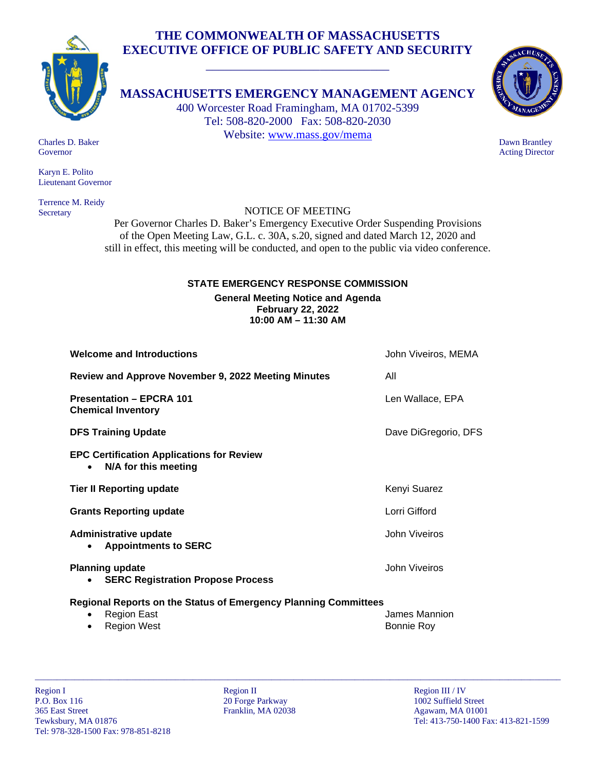# **THE COMMONWEALTH OF MASSACHUSETTS EXECUTIVE OFFICE OF PUBLIC SAFETY AND SECURITY**



**MASSACHUSETTS EMERGENCY MANAGEMENT AGENCY**

\_\_\_\_\_\_\_\_\_\_\_\_\_\_\_\_\_\_\_\_\_\_\_\_\_\_\_\_\_

400 Worcester Road Framingham, MA 01702-5399 Tel: 508-820-2000 Fax: 508-820-2030 Website: [www.mass.gov/mema](http://www.mass.gov/mema)



 Dawn Brantley Acting Director

 Charles D. Baker Governor

 Karyn E. Polito Lieutenant Governor

 Terrence M. Reidy Secretary

## NOTICE OF MEETING

Per Governor Charles D. Baker's Emergency Executive Order Suspending Provisions of the Open Meeting Law, G.L. c. 30A, s.20, signed and dated March 12, 2020 and still in effect, this meeting will be conducted, and open to the public via video conference.

### **STATE EMERGENCY RESPONSE COMMISSION**

**General Meeting Notice and Agenda February 22, 2022 10:00 AM – 11:30 AM**

| <b>Welcome and Introductions</b>                                                      | John Viveiros, MEMA  |
|---------------------------------------------------------------------------------------|----------------------|
| Review and Approve November 9, 2022 Meeting Minutes                                   | All                  |
| <b>Presentation - EPCRA 101</b><br><b>Chemical Inventory</b>                          | Len Wallace, EPA     |
| <b>DFS Training Update</b>                                                            | Dave DiGregorio, DFS |
| <b>EPC Certification Applications for Review</b><br>N/A for this meeting<br>$\bullet$ |                      |
| <b>Tier II Reporting update</b>                                                       | Kenyi Suarez         |
| <b>Grants Reporting update</b>                                                        | Lorri Gifford        |
| Administrative update<br><b>Appointments to SERC</b>                                  | John Viveiros        |
| <b>Planning update</b><br><b>SERC Registration Propose Process</b><br>$\bullet$       | John Viveiros        |
| <b>Regional Reports on the Status of Emergency Planning Committees</b>                |                      |

## **Regional Reports on the Status of Emergency Planning Committees**

**Region East Abuse 2018 Contract Contract Contract Contract Contract Contract Contract Contract Contract Contract Contract Contract Contract Contract Contract Contract Contract Contract Contract Contract Contract Contr Region West Bonnie Roy** 

\_\_\_\_\_\_\_\_\_\_\_\_\_\_\_\_\_\_\_\_\_\_\_\_\_\_\_\_\_\_\_\_\_\_\_\_\_\_\_\_\_\_\_\_\_\_\_\_\_\_\_\_\_\_\_\_\_\_\_\_\_\_\_\_\_\_\_\_\_\_\_\_\_\_\_\_\_\_\_\_\_\_\_\_\_\_\_\_\_\_\_\_\_\_\_\_\_\_\_\_\_\_\_\_\_\_\_\_\_\_\_\_\_\_\_\_\_\_\_\_